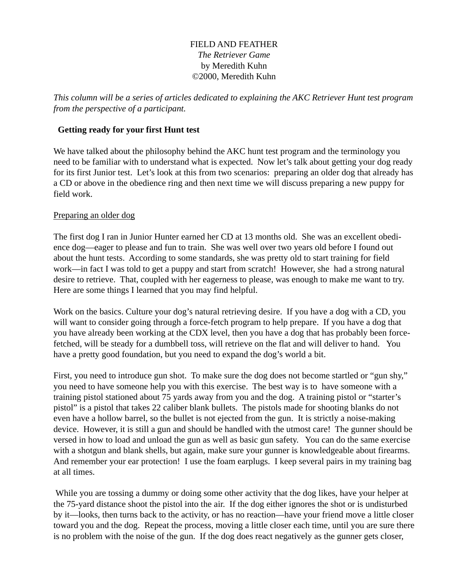## FIELD AND FEATHER *The Retriever Game* by Meredith Kuhn ©2000, Meredith Kuhn

*This column will be a series of articles dedicated to explaining the AKC Retriever Hunt test program from the perspective of a participant.*

## **Getting ready for your first Hunt test**

We have talked about the philosophy behind the AKC hunt test program and the terminology you need to be familiar with to understand what is expected. Now let's talk about getting your dog ready for its first Junior test. Let's look at this from two scenarios: preparing an older dog that already has a CD or above in the obedience ring and then next time we will discuss preparing a new puppy for field work.

## Preparing an older dog

The first dog I ran in Junior Hunter earned her CD at 13 months old. She was an excellent obedience dog—eager to please and fun to train. She was well over two years old before I found out about the hunt tests. According to some standards, she was pretty old to start training for field work—in fact I was told to get a puppy and start from scratch! However, she had a strong natural desire to retrieve. That, coupled with her eagerness to please, was enough to make me want to try. Here are some things I learned that you may find helpful.

Work on the basics. Culture your dog's natural retrieving desire. If you have a dog with a CD, you will want to consider going through a force-fetch program to help prepare. If you have a dog that you have already been working at the CDX level, then you have a dog that has probably been forcefetched, will be steady for a dumbbell toss, will retrieve on the flat and will deliver to hand. You have a pretty good foundation, but you need to expand the dog's world a bit.

First, you need to introduce gun shot. To make sure the dog does not become startled or "gun shy," you need to have someone help you with this exercise. The best way is to have someone with a training pistol stationed about 75 yards away from you and the dog. A training pistol or "starter's pistol" is a pistol that takes 22 caliber blank bullets. The pistols made for shooting blanks do not even have a hollow barrel, so the bullet is not ejected from the gun. It is strictly a noise-making device. However, it is still a gun and should be handled with the utmost care! The gunner should be versed in how to load and unload the gun as well as basic gun safety. You can do the same exercise with a shotgun and blank shells, but again, make sure your gunner is knowledgeable about firearms. And remember your ear protection! I use the foam earplugs. I keep several pairs in my training bag at all times.

 While you are tossing a dummy or doing some other activity that the dog likes, have your helper at the 75-yard distance shoot the pistol into the air. If the dog either ignores the shot or is undisturbed by it—looks, then turns back to the activity, or has no reaction—have your friend move a little closer toward you and the dog. Repeat the process, moving a little closer each time, until you are sure there is no problem with the noise of the gun. If the dog does react negatively as the gunner gets closer,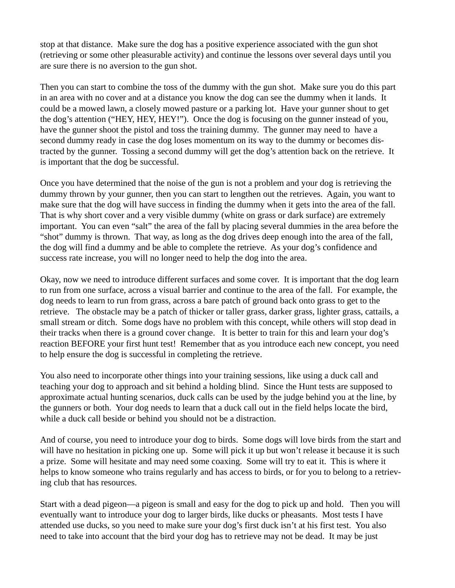stop at that distance. Make sure the dog has a positive experience associated with the gun shot (retrieving or some other pleasurable activity) and continue the lessons over several days until you are sure there is no aversion to the gun shot.

Then you can start to combine the toss of the dummy with the gun shot. Make sure you do this part in an area with no cover and at a distance you know the dog can see the dummy when it lands. It could be a mowed lawn, a closely mowed pasture or a parking lot. Have your gunner shout to get the dog's attention ("HEY, HEY, HEY!"). Once the dog is focusing on the gunner instead of you, have the gunner shoot the pistol and toss the training dummy. The gunner may need to have a second dummy ready in case the dog loses momentum on its way to the dummy or becomes distracted by the gunner. Tossing a second dummy will get the dog's attention back on the retrieve. It is important that the dog be successful.

Once you have determined that the noise of the gun is not a problem and your dog is retrieving the dummy thrown by your gunner, then you can start to lengthen out the retrieves. Again, you want to make sure that the dog will have success in finding the dummy when it gets into the area of the fall. That is why short cover and a very visible dummy (white on grass or dark surface) are extremely important. You can even "salt" the area of the fall by placing several dummies in the area before the "shot" dummy is thrown. That way, as long as the dog drives deep enough into the area of the fall, the dog will find a dummy and be able to complete the retrieve. As your dog's confidence and success rate increase, you will no longer need to help the dog into the area.

Okay, now we need to introduce different surfaces and some cover. It is important that the dog learn to run from one surface, across a visual barrier and continue to the area of the fall. For example, the dog needs to learn to run from grass, across a bare patch of ground back onto grass to get to the retrieve. The obstacle may be a patch of thicker or taller grass, darker grass, lighter grass, cattails, a small stream or ditch. Some dogs have no problem with this concept, while others will stop dead in their tracks when there is a ground cover change. It is better to train for this and learn your dog's reaction BEFORE your first hunt test! Remember that as you introduce each new concept, you need to help ensure the dog is successful in completing the retrieve.

You also need to incorporate other things into your training sessions, like using a duck call and teaching your dog to approach and sit behind a holding blind. Since the Hunt tests are supposed to approximate actual hunting scenarios, duck calls can be used by the judge behind you at the line, by the gunners or both. Your dog needs to learn that a duck call out in the field helps locate the bird, while a duck call beside or behind you should not be a distraction.

And of course, you need to introduce your dog to birds. Some dogs will love birds from the start and will have no hesitation in picking one up. Some will pick it up but won't release it because it is such a prize. Some will hesitate and may need some coaxing. Some will try to eat it. This is where it helps to know someone who trains regularly and has access to birds, or for you to belong to a retrieving club that has resources.

Start with a dead pigeon—a pigeon is small and easy for the dog to pick up and hold. Then you will eventually want to introduce your dog to larger birds, like ducks or pheasants. Most tests I have attended use ducks, so you need to make sure your dog's first duck isn't at his first test. You also need to take into account that the bird your dog has to retrieve may not be dead. It may be just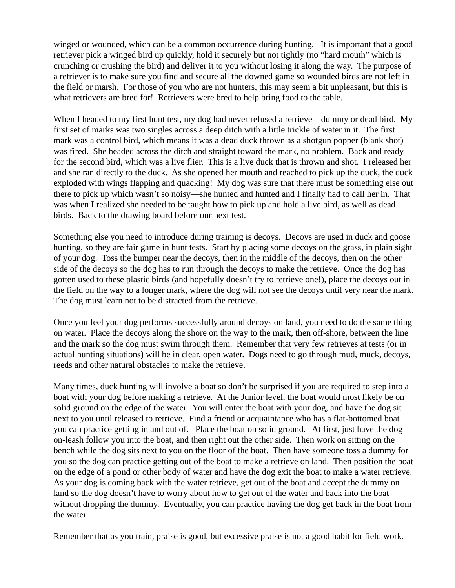winged or wounded, which can be a common occurrence during hunting. It is important that a good retriever pick a winged bird up quickly, hold it securely but not tightly (no "hard mouth" which is crunching or crushing the bird) and deliver it to you without losing it along the way. The purpose of a retriever is to make sure you find and secure all the downed game so wounded birds are not left in the field or marsh. For those of you who are not hunters, this may seem a bit unpleasant, but this is what retrievers are bred for! Retrievers were bred to help bring food to the table.

When I headed to my first hunt test, my dog had never refused a retrieve—dummy or dead bird. My first set of marks was two singles across a deep ditch with a little trickle of water in it. The first mark was a control bird, which means it was a dead duck thrown as a shotgun popper (blank shot) was fired. She headed across the ditch and straight toward the mark, no problem. Back and ready for the second bird, which was a live flier. This is a live duck that is thrown and shot. I released her and she ran directly to the duck. As she opened her mouth and reached to pick up the duck, the duck exploded with wings flapping and quacking! My dog was sure that there must be something else out there to pick up which wasn't so noisy—she hunted and hunted and I finally had to call her in. That was when I realized she needed to be taught how to pick up and hold a live bird, as well as dead birds. Back to the drawing board before our next test.

Something else you need to introduce during training is decoys. Decoys are used in duck and goose hunting, so they are fair game in hunt tests. Start by placing some decoys on the grass, in plain sight of your dog. Toss the bumper near the decoys, then in the middle of the decoys, then on the other side of the decoys so the dog has to run through the decoys to make the retrieve. Once the dog has gotten used to these plastic birds (and hopefully doesn't try to retrieve one!), place the decoys out in the field on the way to a longer mark, where the dog will not see the decoys until very near the mark. The dog must learn not to be distracted from the retrieve.

Once you feel your dog performs successfully around decoys on land, you need to do the same thing on water. Place the decoys along the shore on the way to the mark, then off-shore, between the line and the mark so the dog must swim through them. Remember that very few retrieves at tests (or in actual hunting situations) will be in clear, open water. Dogs need to go through mud, muck, decoys, reeds and other natural obstacles to make the retrieve.

Many times, duck hunting will involve a boat so don't be surprised if you are required to step into a boat with your dog before making a retrieve. At the Junior level, the boat would most likely be on solid ground on the edge of the water. You will enter the boat with your dog, and have the dog sit next to you until released to retrieve. Find a friend or acquaintance who has a flat-bottomed boat you can practice getting in and out of. Place the boat on solid ground. At first, just have the dog on-leash follow you into the boat, and then right out the other side. Then work on sitting on the bench while the dog sits next to you on the floor of the boat. Then have someone toss a dummy for you so the dog can practice getting out of the boat to make a retrieve on land. Then position the boat on the edge of a pond or other body of water and have the dog exit the boat to make a water retrieve. As your dog is coming back with the water retrieve, get out of the boat and accept the dummy on land so the dog doesn't have to worry about how to get out of the water and back into the boat without dropping the dummy. Eventually, you can practice having the dog get back in the boat from the water.

Remember that as you train, praise is good, but excessive praise is not a good habit for field work.